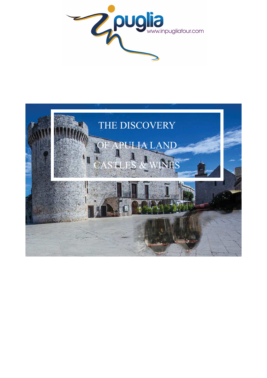

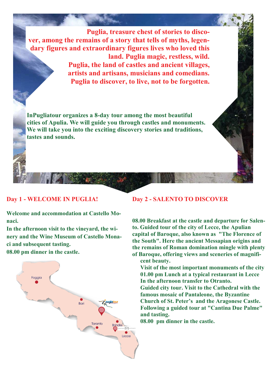**Puglia, treasure chest of stories to discover, among the remains of a story that tells of myths, legendary figures and extraordinary figures lives who loved this land. Puglia magic, restless, wild. Puglia, the land of castles and ancient villages, artists and artisans, musicians and comedians. Puglia to discover, to live, not to be forgotten.** 

**InPugliatour organizes a 8-day tour among the most beautiful cities of Apulia. We will guide you through castles and monuments. We will take you into the exciting discovery stories and traditions, tastes and sounds.** 

### **Day 1 - WELCOME IN PUGLIA!**

**Welcome and accommodation at Castello Monaci.**

**In the afternoon visit to the vineyard, the winery and the Wine Museum of Castello Monaci and subsequent tasting. 08.00 pm dinner in the castle.** 



#### **Day 2 - SALENTO TO DISCOVER**

**08.00 Breakfast at the castle and departure for Salento. Guided tour of the city of Lecce, the Apulian capital of Baroque, also known as "The Florence of the South". Here the ancient Messapian origins and the remains of Roman domination mingle with plenty of Baroque, offering views and sceneries of magnificent beauty.** 

**Visit of the most important monuments of the city 01.00 pm Lunch at a typical restaurant in Lecce In the afternoon transfer to Otranto.** 

**Guided city tour. Visit to the Cathedral with the famous mosaic of Pantaleone, the Byzantine Church of St. Peter's and the Aragonese Castle. Following a guided tour at "Cantina Due Palme" and tasting.** 

**08.00 pm dinner in the castle.**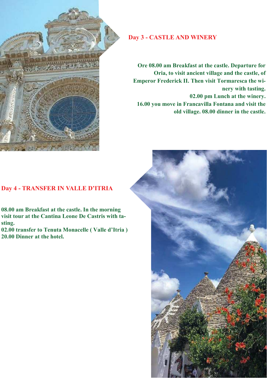

## **Day 3 - CASTLE AND WINERY**

**Ore 08.00 am Breakfast at the castle. Departure for Oria, to visit ancient village and the castle, of Emperor Frederick II. Then visit Tormaresca the winery with tasting. 02.00 pm Lunch at the winery. 16.00 you move in Francavilla Fontana and visit the old village. 08.00 dinner in the castle.** 

### **Day 4 - TRANSFER IN VALLE D'ITRIA**

**08.00 am Breakfast at the castle. In the morning visit tour at the Cantina Leone De Castris with tasting.** 

**02.00 transfer to Tenuta Monacelle ( Valle d'Itria ) 20.00 Dinner at the hotel.** 

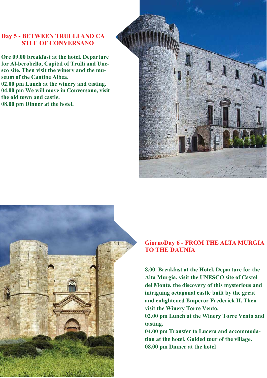# **Day 5 - BETWEEN TRULLI AND CA STLE OF CONVERSANO**

**Ore 09.00 breakfast at the hotel. Departure for Al-berobello, Capital of Trulli and Unesco site. Then visit the winery and the museum of the Cantine Albea. 02.00 pm Lunch at the winery and tasting. 04.00 pm We will move in Conversano, visit the old town and castle. 08.00 pm Dinner at the hotel.** 





### **GiornoDay 6 - FROM THE ALTA MURGIA TO THE DAUNIA**

**8.00 Breakfast at the Hotel. Departure for the Alta Murgia, visit the UNESCO site of Castel del Monte, the discovery of this mysterious and intriguing octagonal castle built by the great and enlightened Emperor Frederick II. Then visit the Winery Torre Vento.** 

**02.00 pm Lunch at the Winery Torre Vento and tasting.** 

**04.00 pm Transfer to Lucera and accommodation at the hotel. Guided tour of the village. 08.00 pm Dinner at the hotel**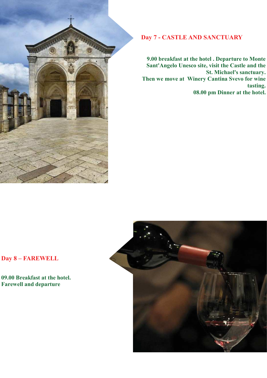

## **Day 7 - CASTLE AND SANCTUARY**

**9.00 breakfast at the hotel . Departure to Monte Sant'Angelo Unesco site, visit the Castle and the St. Michael's sanctuary. Then we move at Winery Cantina Svevo for wine tasting. 08.00 pm Dinner at the hotel.**

# **Day 8 – FAREWELL**

**09.00 Breakfast at the hotel. Farewell and departure** 

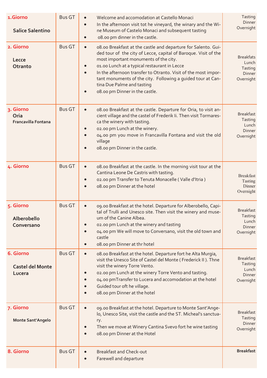| 1.Giorno<br><b>Salice Salentino</b>             | <b>Bus GT</b> | Welcome and accomodation at Castello Monaci<br>In the afternoon visit tot he vineyard, the winary and the Wi-<br>$\bullet$<br>ne Museum of Castelo Monaci and subsequent tasting<br>o8.00 pm dinner in the castle.<br>$\bullet$                                                                                                                                                                                                                      | Tasting<br><b>Dinner</b><br>Overnight                       |
|-------------------------------------------------|---------------|------------------------------------------------------------------------------------------------------------------------------------------------------------------------------------------------------------------------------------------------------------------------------------------------------------------------------------------------------------------------------------------------------------------------------------------------------|-------------------------------------------------------------|
| 2. Giorno<br>Lecce<br>Otranto                   | <b>Bus GT</b> | 08.00 Breakfast at the castle and departure for Salento. Gui-<br>$\bullet$<br>ded tour of the city of Lecce, capital of Baroque. Visit of the<br>most important monuments of the city.<br>01.00 Lunch at a typical restaurant in Lecce<br>In the afternoon transfer to Otranto. Visit of the most impor-<br>$\bullet$<br>tant monuments of the city. Following a guided tour at Can-<br>tina Due Palme and tasting<br>o8.00 pm Dinner in the castle. | <b>Breakfats</b><br>Lunch<br>Tasting<br>Dinner<br>Overnight |
| 3. Giorno<br>Oria<br><b>Francavilla Fontana</b> | <b>Bus GT</b> | 08.00 Breakfast at the castle. Departure for Oria, to visit an-<br>$\bullet$<br>cient village and the castel of Frederik Ii. Then visit Tormares-<br>ca the winery with tasting.<br>02.00 pm Lunch at the winery.<br>04.00 pm you move in Francavilla Fontana and visit the old<br>village<br>o8.00 pm Dinner in the castle.                                                                                                                         | <b>Breakfast</b><br>Tasting<br>Lunch<br>Dinner<br>Overnight |
| 4. Giorno                                       | <b>Bus GT</b> | 08.00 Breakfast at the castle. In the morning visit tour at the<br>$\bullet$<br>Cantina Leone De Castris with tasting.<br>o2.00 pm Transfer to Tenuta Monacelle (Valle d'Itria)<br>o8.00 pm Dinner at the hotel                                                                                                                                                                                                                                      | <b>Breakfast</b><br>Tasting<br>Dinner<br>Overnight          |
| 5. Giorno<br>Alberobello<br>Conversano          | <b>Bus GT</b> | og.oo Breakfast at the hotel. Departure for Alberobello, Capi-<br>tal of Trulli and Unesco site. Then visit the winery and muse-<br>um of the Canine Albea.<br>02.00 pm Lunch at the winery and tasting<br>04.00 pm We will move to Conversano, visit the old town and<br>castle<br>o8.00 pm Dinner at thr hotel<br>$\bullet$                                                                                                                        | <b>Breakfast</b><br>Tasting<br>Lunch<br>Dinner<br>Overnight |
| 6. Giorno<br><b>Castel del Monte</b><br>Lucera  | <b>Bus GT</b> | o8.00 Breakfast at the hotel. Departure fort he Alta Murgia,<br>$\bullet$<br>visit the Unesco Site of Castel del Monte (Frederick II). Thne<br>visit the winery Torre Vento.<br>o2.00 pm Lunch at the winery Torre Vento and tasting.<br>04.00 pmTransfer to Lucera and accomodation at the hotel<br>Guided tour oft he village.<br>o8.00 pm Dinner at the hotel                                                                                     | <b>Breakfast</b><br>Tasting<br>Lunch<br>Dinner<br>Overnight |
| 7. Giorno<br><b>Monte Sant'Angelo</b>           | <b>Bus GT</b> | og.oo Breakfast at the hotel. Departure to Monte Sant'Ange-<br>$\bullet$<br>lo, Unesco Site, visit the castle and the ST. Micheal's sanctua-<br>ry.<br>Then we move at Winery Cantina Svevo fort he wine tasting<br>08.00 pm Dinner at the Hotel                                                                                                                                                                                                     | <b>Breakfast</b><br>Tasting<br>Dinner<br>Overnight          |
| 8. Giorno                                       | <b>Bus GT</b> | <b>Breakfast and Check-out</b><br>Farewell and departure                                                                                                                                                                                                                                                                                                                                                                                             | <b>Breakfast</b>                                            |